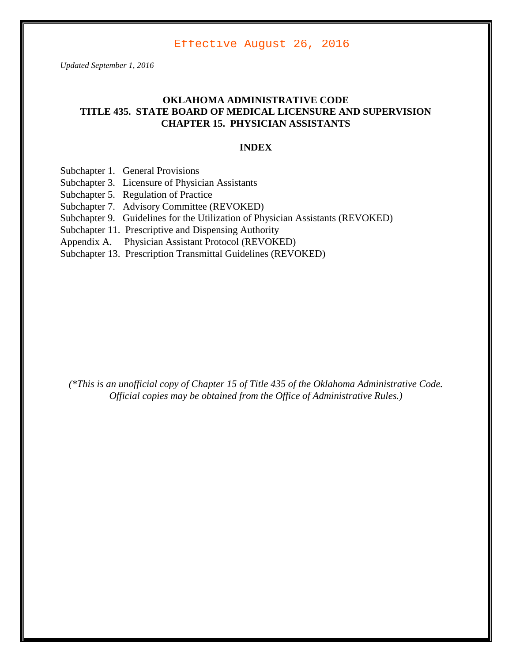Effective August 26, 2016

*Updated September 1, 2016*

## **OKLAHOMA ADMINISTRATIVE CODE TITLE 435. STATE BOARD OF MEDICAL LICENSURE AND SUPERVISION CHAPTER 15. PHYSICIAN ASSISTANTS**

#### **INDEX**

- Subchapter 1. General Provisions
- Subchapter 3. Licensure of Physician Assistants
- Subchapter 5. Regulation of Practice
- Subchapter 7. Advisory Committee (REVOKED)
- Subchapter 9. Guidelines for the Utilization of Physician Assistants (REVOKED)
- Subchapter 11. Prescriptive and Dispensing Authority
- Appendix A. Physician Assistant Protocol (REVOKED)
- Subchapter 13. Prescription Transmittal Guidelines (REVOKED)

*(\*This is an unofficial copy of Chapter 15 of Title 435 of the Oklahoma Administrative Code. Official copies may be obtained from the Office of Administrative Rules.)*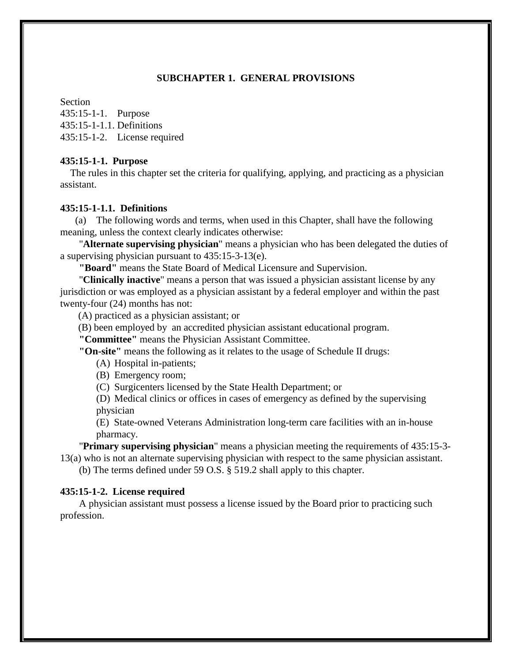#### **SUBCHAPTER 1. GENERAL PROVISIONS**

Section 435:15-1-1. Purpose 435:15-1-1.1. Definitions 435:15-1-2. License required

#### **435:15-1-1. Purpose**

 The rules in this chapter set the criteria for qualifying, applying, and practicing as a physician assistant.

#### **435:15-1-1.1. Definitions**

(a) The following words and terms, when used in this Chapter, shall have the following meaning, unless the context clearly indicates otherwise:

"**Alternate supervising physician**" means a physician who has been delegated the duties of a supervising physician pursuant to 435:15-3-13(e).

**"Board"** means the State Board of Medical Licensure and Supervision.

"**Clinically inactive**" means a person that was issued a physician assistant license by any jurisdiction or was employed as a physician assistant by a federal employer and within the past twenty-four (24) months has not:

(A) practiced as a physician assistant; or

(B) been employed by an accredited physician assistant educational program.

**"Committee"** means the Physician Assistant Committee.

**"On-site"** means the following as it relates to the usage of Schedule II drugs:

(A) Hospital in-patients;

(B) Emergency room;

(C) Surgicenters licensed by the State Health Department; or

(D) Medical clinics or offices in cases of emergency as defined by the supervising physician

(E) State-owned Veterans Administration long-term care facilities with an in-house pharmacy.

"**Primary supervising physician**" means a physician meeting the requirements of 435:15-3- 13(a) who is not an alternate supervising physician with respect to the same physician assistant.

(b) The terms defined under 59 O.S. § 519.2 shall apply to this chapter.

#### **435:15-1-2. License required**

A physician assistant must possess a license issued by the Board prior to practicing such profession.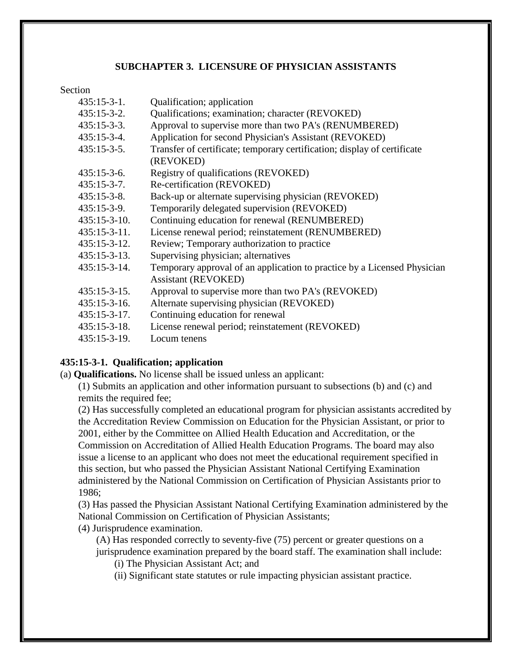### **SUBCHAPTER 3. LICENSURE OF PHYSICIAN ASSISTANTS**

#### Section

| $435:15-3-1.$       | Qualification; application                                               |
|---------------------|--------------------------------------------------------------------------|
| $435:15-3-2.$       | Qualifications; examination; character (REVOKED)                         |
| $435:15-3-3.$       | Approval to supervise more than two PA's (RENUMBERED)                    |
| $435:15-3-4.$       | Application for second Physician's Assistant (REVOKED)                   |
| $435:15-3-5.$       | Transfer of certificate; temporary certification; display of certificate |
|                     | (REVOKED)                                                                |
| $435:15-3-6.$       | Registry of qualifications (REVOKED)                                     |
| $435:15-3-7.$       | Re-certification (REVOKED)                                               |
| $435:15-3-8.$       | Back-up or alternate supervising physician (REVOKED)                     |
| $435:15-3-9.$       | Temporarily delegated supervision (REVOKED)                              |
| $435:15-3-10.$      | Continuing education for renewal (RENUMBERED)                            |
| $435:15-3-11.$      | License renewal period; reinstatement (RENUMBERED)                       |
| $435:15 - 3 - 12$ . | Review; Temporary authorization to practice                              |
| $435:15 - 3 - 13.$  | Supervising physician; alternatives                                      |
| $435:15-3-14.$      | Temporary approval of an application to practice by a Licensed Physician |
|                     | <b>Assistant (REVOKED)</b>                                               |
| $435:15 - 3 - 15$ . | Approval to supervise more than two PA's (REVOKED)                       |
| $435:15-3-16.$      | Alternate supervising physician (REVOKED)                                |
| $435:15-3-17.$      | Continuing education for renewal                                         |
| $435:15-3-18.$      | License renewal period; reinstatement (REVOKED)                          |
| 435:15-3-19.        | Locum tenens                                                             |

## **435:15-3-1. Qualification; application**

(a) **Qualifications.** No license shall be issued unless an applicant:

(1) Submits an application and other information pursuant to subsections (b) and (c) and remits the required fee;

(2) Has successfully completed an educational program for physician assistants accredited by the Accreditation Review Commission on Education for the Physician Assistant, or prior to 2001, either by the Committee on Allied Health Education and Accreditation, or the Commission on Accreditation of Allied Health Education Programs. The board may also issue a license to an applicant who does not meet the educational requirement specified in this section, but who passed the Physician Assistant National Certifying Examination administered by the National Commission on Certification of Physician Assistants prior to 1986;

(3) Has passed the Physician Assistant National Certifying Examination administered by the National Commission on Certification of Physician Assistants;

(4) Jurisprudence examination.

(A) Has responded correctly to seventy-five (75) percent or greater questions on a jurisprudence examination prepared by the board staff. The examination shall include:

(i) The Physician Assistant Act; and

(ii) Significant state statutes or rule impacting physician assistant practice.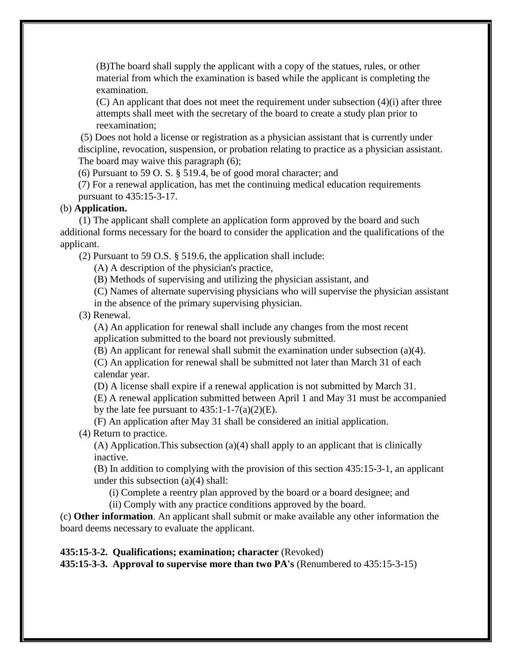(B)The board shall supply the applicant with a copy of the statues, rules, or other material from which the examination is based while the applicant is completing the examination.

 $(C)$  An applicant that does not meet the requirement under subsection  $(4)(i)$  after three attempts shall meet with the secretary of the board to create a study plan prior to reexamination;

(5) Does not hold a license or registration as a physician assistant that is currently under discipline, revocation, suspension, or probation relating to practice as a physician assistant. The board may waive this paragraph (6);

(6) Pursuant to 59 O. S. § 519.4, be of good moral character; and

(7) For a renewal application, has met the continuing medical education requirements pursuant to 435:15-3-17.

#### (b) **Application.**

(1) The applicant shall complete an application form approved by the board and such additional forms necessary for the board to consider the application and the qualifications of the applicant.

(2) Pursuant to 59 O.S. § 519.6, the application shall include:

(A) A description of the physician's practice,

(B) Methods of supervising and utilizing the physician assistant, and

(C) Names of alternate supervising physicians who will supervise the physician assistant

in the absence of the primary supervising physician.

(3) Renewal.

(A) An application for renewal shall include any changes from the most recent application submitted to the board not previously submitted.

(B) An applicant for renewal shall submit the examination under subsection (a)(4).

(C) An application for renewal shall be submitted not later than March 31 of each calendar year.

(D) A license shall expire if a renewal application is not submitted by March 31.

(E) A renewal application submitted between April 1 and May 31 must be accompanied by the late fee pursuant to  $435:1-1-7(a)(2)(E)$ .

(F) An application after May 31 shall be considered an initial application.

(4) Return to practice.

(A) Application.This subsection (a)(4) shall apply to an applicant that is clinically inactive.

(B) In addition to complying with the provision of this section 435:15-3-1, an applicant under this subsection (a)(4) shall:

(i) Complete a reentry plan approved by the board or a board designee; and

(ii) Comply with any practice conditions approved by the board.

(c) **Other information**. An applicant shall submit or make available any other information the board deems necessary to evaluate the applicant.

### **435:15-3-2. Qualifications; examination; character** (Revoked)

**435:15-3-3. Approval to supervise more than two PA's** (Renumbered to 435:15-3-15)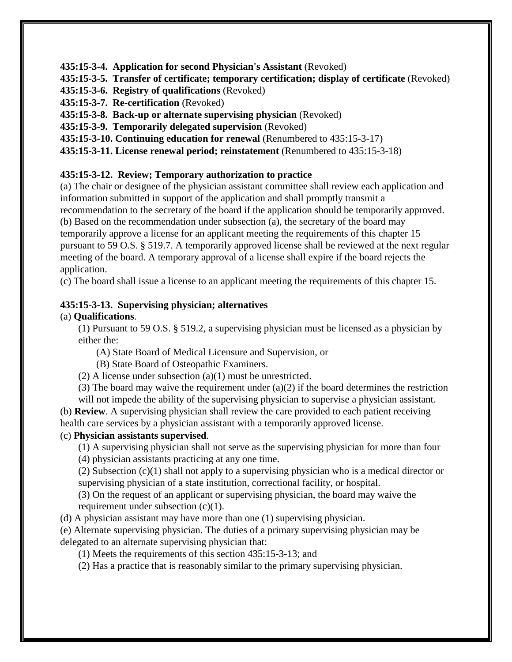**435:15-3-4. Application for second Physician's Assistant** (Revoked)

**435:15-3-5. Transfer of certificate; temporary certification; display of certificate** (Revoked)

**435:15-3-6. Registry of qualifications** (Revoked)

**435:15-3-7. Re-certification** (Revoked)

**435:15-3-8. Back-up or alternate supervising physician** (Revoked)

**435:15-3-9. Temporarily delegated supervision** (Revoked)

**435:15-3-10. Continuing education for renewal** (Renumbered to 435:15-3-17)

**435:15-3-11. License renewal period; reinstatement** (Renumbered to 435:15-3-18)

# **435:15-3-12. Review; Temporary authorization to practice**

(a) The chair or designee of the physician assistant committee shall review each application and information submitted in support of the application and shall promptly transmit a recommendation to the secretary of the board if the application should be temporarily approved. (b) Based on the recommendation under subsection (a), the secretary of the board may temporarily approve a license for an applicant meeting the requirements of this chapter 15 pursuant to 59 O.S. § 519.7. A temporarily approved license shall be reviewed at the next regular meeting of the board. A temporary approval of a license shall expire if the board rejects the application.

(c) The board shall issue a license to an applicant meeting the requirements of this chapter 15.

# **435:15-3-13. Supervising physician; alternatives**

# (a) **Qualifications**.

(1) Pursuant to 59 O.S. § 519.2, a supervising physician must be licensed as a physician by either the:

(A) State Board of Medical Licensure and Supervision, or

(B) State Board of Osteopathic Examiners.

(2) A license under subsection (a)(1) must be unrestricted.

(3) The board may waive the requirement under  $(a)(2)$  if the board determines the restriction

will not impede the ability of the supervising physician to supervise a physician assistant. (b) **Review**. A supervising physician shall review the care provided to each patient receiving health care services by a physician assistant with a temporarily approved license.

# (c) **Physician assistants supervised**.

(1) A supervising physician shall not serve as the supervising physician for more than four

(4) physician assistants practicing at any one time.

(2) Subsection (c)(1) shall not apply to a supervising physician who is a medical director or supervising physician of a state institution, correctional facility, or hospital.

(3) On the request of an applicant or supervising physician, the board may waive the requirement under subsection (c)(1).

(d) A physician assistant may have more than one (1) supervising physician.

(e) Alternate supervising physician. The duties of a primary supervising physician may be delegated to an alternate supervising physician that:

(1) Meets the requirements of this section 435:15-3-13; and

(2) Has a practice that is reasonably similar to the primary supervising physician.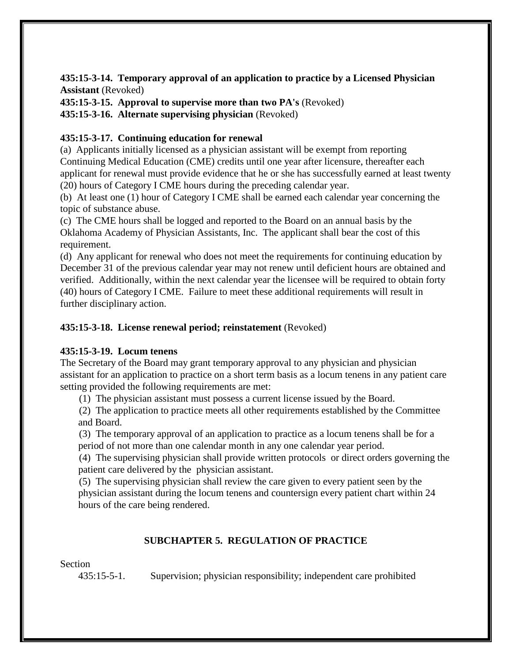**435:15-3-14. Temporary approval of an application to practice by a Licensed Physician Assistant** (Revoked)

**435:15-3-15. Approval to supervise more than two PA's** (Revoked)

**435:15-3-16. Alternate supervising physician** (Revoked)

## **435:15-3-17. Continuing education for renewal**

(a) Applicants initially licensed as a physician assistant will be exempt from reporting Continuing Medical Education (CME) credits until one year after licensure, thereafter each applicant for renewal must provide evidence that he or she has successfully earned at least twenty (20) hours of Category I CME hours during the preceding calendar year.

(b) At least one (1) hour of Category I CME shall be earned each calendar year concerning the topic of substance abuse.

(c) The CME hours shall be logged and reported to the Board on an annual basis by the Oklahoma Academy of Physician Assistants, Inc. The applicant shall bear the cost of this requirement.

(d) Any applicant for renewal who does not meet the requirements for continuing education by December 31 of the previous calendar year may not renew until deficient hours are obtained and verified. Additionally, within the next calendar year the licensee will be required to obtain forty (40) hours of Category I CME. Failure to meet these additional requirements will result in further disciplinary action.

## **435:15-3-18. License renewal period; reinstatement** (Revoked)

## **435:15-3-19. Locum tenens**

The Secretary of the Board may grant temporary approval to any physician and physician assistant for an application to practice on a short term basis as a locum tenens in any patient care setting provided the following requirements are met:

(1) The physician assistant must possess a current license issued by the Board.

(2) The application to practice meets all other requirements established by the Committee and Board.

(3) The temporary approval of an application to practice as a locum tenens shall be for a period of not more than one calendar month in any one calendar year period.

(4) The supervising physician shall provide written protocols or direct orders governing the patient care delivered by the physician assistant.

(5) The supervising physician shall review the care given to every patient seen by the physician assistant during the locum tenens and countersign every patient chart within 24 hours of the care being rendered.

## **SUBCHAPTER 5. REGULATION OF PRACTICE**

Section

435:15-5-1. Supervision; physician responsibility; independent care prohibited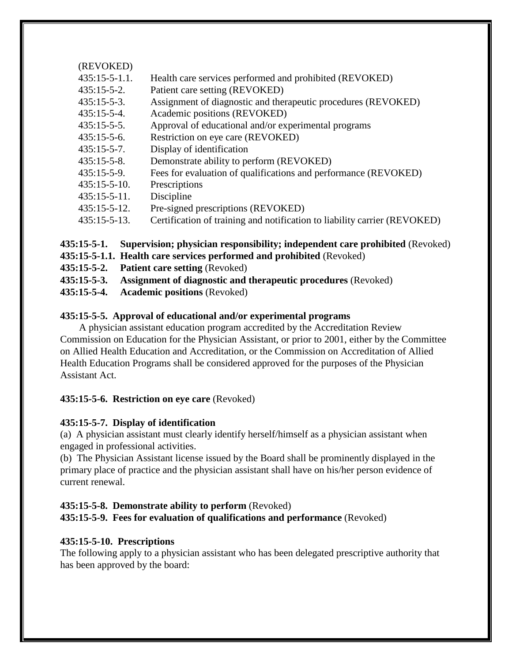| (REVOKED)           |                                                                           |
|---------------------|---------------------------------------------------------------------------|
| $435:15-5-1.1$ .    | Health care services performed and prohibited (REVOKED)                   |
| $435:15-5-2.$       | Patient care setting (REVOKED)                                            |
| $435:15-5-3.$       | Assignment of diagnostic and therapeutic procedures (REVOKED)             |
| $435:15-5-4.$       | Academic positions (REVOKED)                                              |
| $435:15-5-5.$       | Approval of educational and/or experimental programs                      |
| $435:15-5-6.$       | Restriction on eye care (REVOKED)                                         |
| $435:15-5-7.$       | Display of identification                                                 |
| $435:15-5-8.$       | Demonstrate ability to perform (REVOKED)                                  |
| $435:15-5-9.$       | Fees for evaluation of qualifications and performance (REVOKED)           |
| $435:15-5-10.$      | Prescriptions                                                             |
| $435:15-5-11.$      | Discipline                                                                |
| $435:15 - 5 - 12$ . | Pre-signed prescriptions (REVOKED)                                        |
| $435:15 - 5 - 13.$  | Certification of training and notification to liability carrier (REVOKED) |
|                     |                                                                           |

**435:15-5-1. Supervision; physician responsibility; independent care prohibited** (Revoked)

- **435:15-5-1.1. Health care services performed and prohibited** (Revoked)
- **435:15-5-2. Patient care setting** (Revoked)
- **435:15-5-3. Assignment of diagnostic and therapeutic procedures** (Revoked)
- **435:15-5-4. Academic positions** (Revoked)

## **435:15-5-5. Approval of educational and/or experimental programs**

A physician assistant education program accredited by the Accreditation Review Commission on Education for the Physician Assistant, or prior to 2001, either by the Committee on Allied Health Education and Accreditation, or the Commission on Accreditation of Allied Health Education Programs shall be considered approved for the purposes of the Physician Assistant Act.

# **435:15-5-6. Restriction on eye care** (Revoked)

# **435:15-5-7. Display of identification**

(a) A physician assistant must clearly identify herself/himself as a physician assistant when engaged in professional activities.

(b) The Physician Assistant license issued by the Board shall be prominently displayed in the primary place of practice and the physician assistant shall have on his/her person evidence of current renewal.

## **435:15-5-8. Demonstrate ability to perform** (Revoked) **435:15-5-9. Fees for evaluation of qualifications and performance** (Revoked)

# **435:15-5-10. Prescriptions**

The following apply to a physician assistant who has been delegated prescriptive authority that has been approved by the board: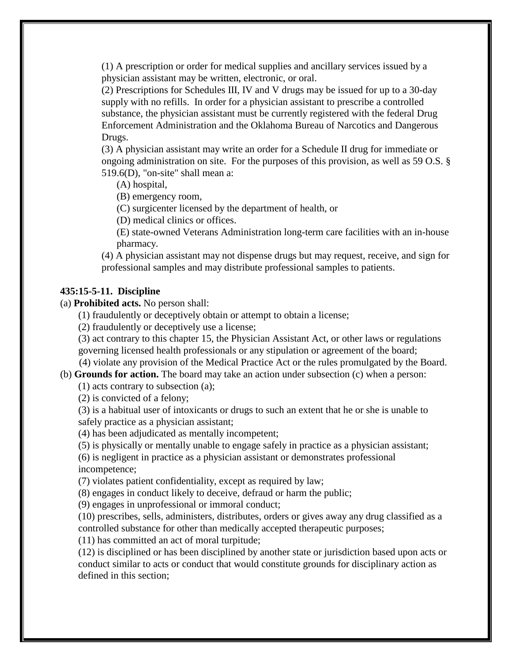(1) A prescription or order for medical supplies and ancillary services issued by a physician assistant may be written, electronic, or oral.

(2) Prescriptions for Schedules III, IV and V drugs may be issued for up to a 30-day supply with no refills. In order for a physician assistant to prescribe a controlled substance, the physician assistant must be currently registered with the federal Drug Enforcement Administration and the Oklahoma Bureau of Narcotics and Dangerous Drugs.

(3) A physician assistant may write an order for a Schedule II drug for immediate or ongoing administration on site. For the purposes of this provision, as well as 59 O.S. § 519.6(D), "on-site" shall mean a:

(A) hospital,

(B) emergency room,

(C) surgicenter licensed by the department of health, or

(D) medical clinics or offices.

(E) state-owned Veterans Administration long-term care facilities with an in-house pharmacy.

(4) A physician assistant may not dispense drugs but may request, receive, and sign for professional samples and may distribute professional samples to patients.

### **435:15-5-11. Discipline**

(a) **Prohibited acts.** No person shall:

(1) fraudulently or deceptively obtain or attempt to obtain a license;

(2) fraudulently or deceptively use a license;

(3) act contrary to this chapter 15, the Physician Assistant Act, or other laws or regulations governing licensed health professionals or any stipulation or agreement of the board;

(4) violate any provision of the Medical Practice Act or the rules promulgated by the Board.

(b) **Grounds for action.** The board may take an action under subsection (c) when a person:

(1) acts contrary to subsection (a);

(2) is convicted of a felony;

(3) is a habitual user of intoxicants or drugs to such an extent that he or she is unable to safely practice as a physician assistant;

(4) has been adjudicated as mentally incompetent;

(5) is physically or mentally unable to engage safely in practice as a physician assistant;

(6) is negligent in practice as a physician assistant or demonstrates professional incompetence;

(7) violates patient confidentiality, except as required by law;

(8) engages in conduct likely to deceive, defraud or harm the public;

(9) engages in unprofessional or immoral conduct;

(10) prescribes, sells, administers, distributes, orders or gives away any drug classified as a controlled substance for other than medically accepted therapeutic purposes;

(11) has committed an act of moral turpitude;

(12) is disciplined or has been disciplined by another state or jurisdiction based upon acts or conduct similar to acts or conduct that would constitute grounds for disciplinary action as defined in this section;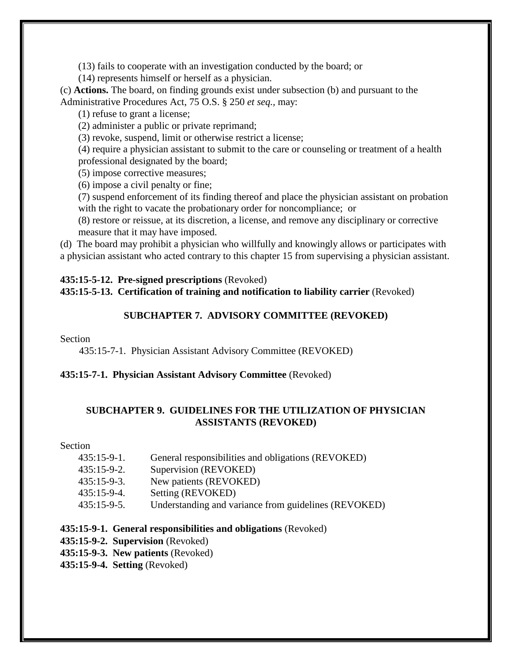(13) fails to cooperate with an investigation conducted by the board; or

(14) represents himself or herself as a physician.

(c) **Actions.** The board, on finding grounds exist under subsection (b) and pursuant to the Administrative Procedures Act, 75 O.S. § 250 *et seq.,* may:

(1) refuse to grant a license;

(2) administer a public or private reprimand;

(3) revoke, suspend, limit or otherwise restrict a license;

(4) require a physician assistant to submit to the care or counseling or treatment of a health professional designated by the board;

(5) impose corrective measures;

(6) impose a civil penalty or fine;

(7) suspend enforcement of its finding thereof and place the physician assistant on probation with the right to vacate the probationary order for noncompliance; or

(8) restore or reissue, at its discretion, a license, and remove any disciplinary or corrective measure that it may have imposed.

(d) The board may prohibit a physician who willfully and knowingly allows or participates with a physician assistant who acted contrary to this chapter 15 from supervising a physician assistant.

## **435:15-5-12. Pre-signed prescriptions** (Revoked)

**435:15-5-13. Certification of training and notification to liability carrier** (Revoked)

## **SUBCHAPTER 7. ADVISORY COMMITTEE (REVOKED)**

### Section

435:15-7-1. Physician Assistant Advisory Committee (REVOKED)

## **435:15-7-1. Physician Assistant Advisory Committee** (Revoked)

## **SUBCHAPTER 9. GUIDELINES FOR THE UTILIZATION OF PHYSICIAN ASSISTANTS (REVOKED)**

Section

- 435:15-9-1. General responsibilities and obligations (REVOKED)
- 435:15-9-2. Supervision (REVOKED)
- 435:15-9-3. New patients (REVOKED)
- 435:15-9-4. Setting (REVOKED)
- 435:15-9-5. Understanding and variance from guidelines (REVOKED)

### **435:15-9-1. General responsibilities and obligations** (Revoked)

- **435:15-9-2. Supervision** (Revoked)
- **435:15-9-3. New patients** (Revoked)
- **435:15-9-4. Setting** (Revoked)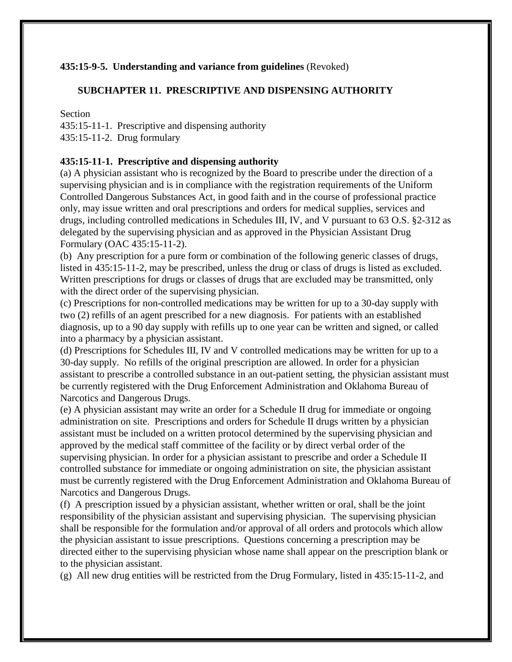## **435:15-9-5. Understanding and variance from guidelines** (Revoked)

### **SUBCHAPTER 11. PRESCRIPTIVE AND DISPENSING AUTHORITY**

#### Section

435:15-11-1. Prescriptive and dispensing authority

435:15-11-2. Drug formulary

### **435:15-11-1. Prescriptive and dispensing authority**

(a) A physician assistant who is recognized by the Board to prescribe under the direction of a supervising physician and is in compliance with the registration requirements of the Uniform Controlled Dangerous Substances Act, in good faith and in the course of professional practice only, may issue written and oral prescriptions and orders for medical supplies, services and drugs, including controlled medications in Schedules III, IV, and V pursuant to 63 O.S. §2-312 as delegated by the supervising physician and as approved in the Physician Assistant Drug Formulary (OAC 435:15-11-2).

(b) Any prescription for a pure form or combination of the following generic classes of drugs, listed in 435:15-11-2, may be prescribed, unless the drug or class of drugs is listed as excluded. Written prescriptions for drugs or classes of drugs that are excluded may be transmitted, only with the direct order of the supervising physician.

(c) Prescriptions for non-controlled medications may be written for up to a 30-day supply with two (2) refills of an agent prescribed for a new diagnosis. For patients with an established diagnosis, up to a 90 day supply with refills up to one year can be written and signed, or called into a pharmacy by a physician assistant.

(d) Prescriptions for Schedules III, IV and V controlled medications may be written for up to a 30-day supply. No refills of the original prescription are allowed. In order for a physician assistant to prescribe a controlled substance in an out-patient setting, the physician assistant must be currently registered with the Drug Enforcement Administration and Oklahoma Bureau of Narcotics and Dangerous Drugs.

(e) A physician assistant may write an order for a Schedule II drug for immediate or ongoing administration on site. Prescriptions and orders for Schedule II drugs written by a physician assistant must be included on a written protocol determined by the supervising physician and approved by the medical staff committee of the facility or by direct verbal order of the supervising physician. In order for a physician assistant to prescribe and order a Schedule II controlled substance for immediate or ongoing administration on site, the physician assistant must be currently registered with the Drug Enforcement Administration and Oklahoma Bureau of Narcotics and Dangerous Drugs.

(f) A prescription issued by a physician assistant, whether written or oral, shall be the joint responsibility of the physician assistant and supervising physician. The supervising physician shall be responsible for the formulation and/or approval of all orders and protocols which allow the physician assistant to issue prescriptions. Questions concerning a prescription may be directed either to the supervising physician whose name shall appear on the prescription blank or to the physician assistant.

(g) All new drug entities will be restricted from the Drug Formulary, listed in 435:15-11-2, and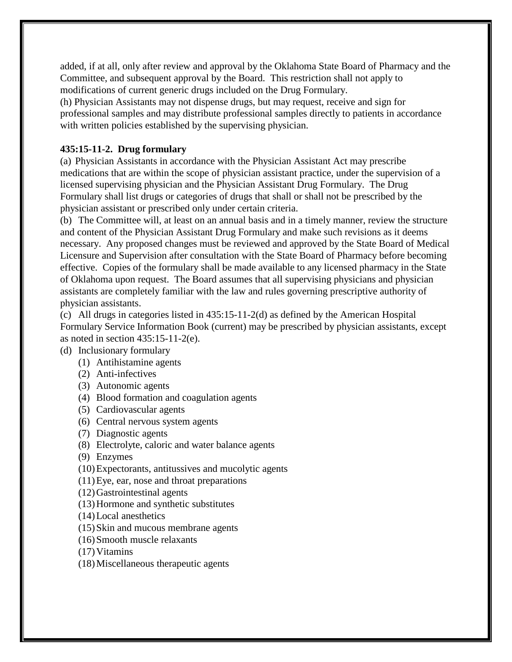added, if at all, only after review and approval by the Oklahoma State Board of Pharmacy and the Committee, and subsequent approval by the Board. This restriction shall not apply to modifications of current generic drugs included on the Drug Formulary.

(h) Physician Assistants may not dispense drugs, but may request, receive and sign for professional samples and may distribute professional samples directly to patients in accordance with written policies established by the supervising physician.

## **435:15-11-2. Drug formulary**

(a) Physician Assistants in accordance with the Physician Assistant Act may prescribe medications that are within the scope of physician assistant practice, under the supervision of a licensed supervising physician and the Physician Assistant Drug Formulary. The Drug Formulary shall list drugs or categories of drugs that shall or shall not be prescribed by the physician assistant or prescribed only under certain criteria.

(b) The Committee will, at least on an annual basis and in a timely manner, review the structure and content of the Physician Assistant Drug Formulary and make such revisions as it deems necessary. Any proposed changes must be reviewed and approved by the State Board of Medical Licensure and Supervision after consultation with the State Board of Pharmacy before becoming effective. Copies of the formulary shall be made available to any licensed pharmacy in the State of Oklahoma upon request. The Board assumes that all supervising physicians and physician assistants are completely familiar with the law and rules governing prescriptive authority of physician assistants.

(c) All drugs in categories listed in 435:15-11-2(d) as defined by the American Hospital Formulary Service Information Book (current) may be prescribed by physician assistants, except as noted in section 435:15-11-2(e).

- (d) Inclusionary formulary
	- (1) Antihistamine agents
	- (2) Anti-infectives
	- (3) Autonomic agents
	- (4) Blood formation and coagulation agents
	- (5) Cardiovascular agents
	- (6) Central nervous system agents
	- (7) Diagnostic agents
	- (8) Electrolyte, caloric and water balance agents
	- (9) Enzymes
	- (10)Expectorants, antitussives and mucolytic agents
	- (11)Eye, ear, nose and throat preparations
	- (12)Gastrointestinal agents
	- (13)Hormone and synthetic substitutes
	- (14)Local anesthetics
	- (15)Skin and mucous membrane agents
	- (16)Smooth muscle relaxants
	- $(17)$  Vitamins
	- (18)Miscellaneous therapeutic agents